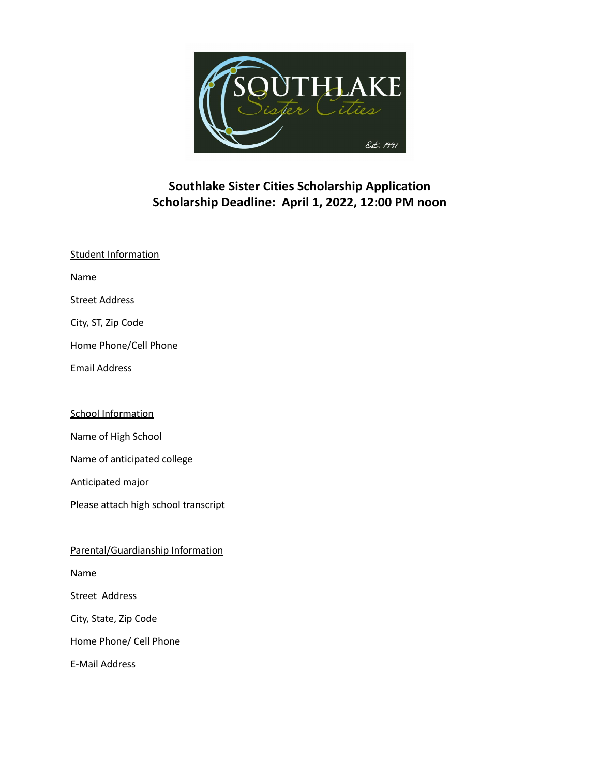

# **Southlake Sister Cities Scholarship Application Scholarship Deadline: April 1, 2022, 12:00 PM noon**

| <b>Student Information</b> |
|----------------------------|
| Name                       |
| Street Address             |
| City, ST, Zip Code         |
| Home Phone/Cell Phone      |
| <b>Email Address</b>       |
|                            |

## School Information

Name of High School

Name of anticipated college

Anticipated major

Please attach high school transcript

Parental/Guardianship Information

Name

Street Address

City, State, Zip Code

Home Phone/ Cell Phone

E-Mail Address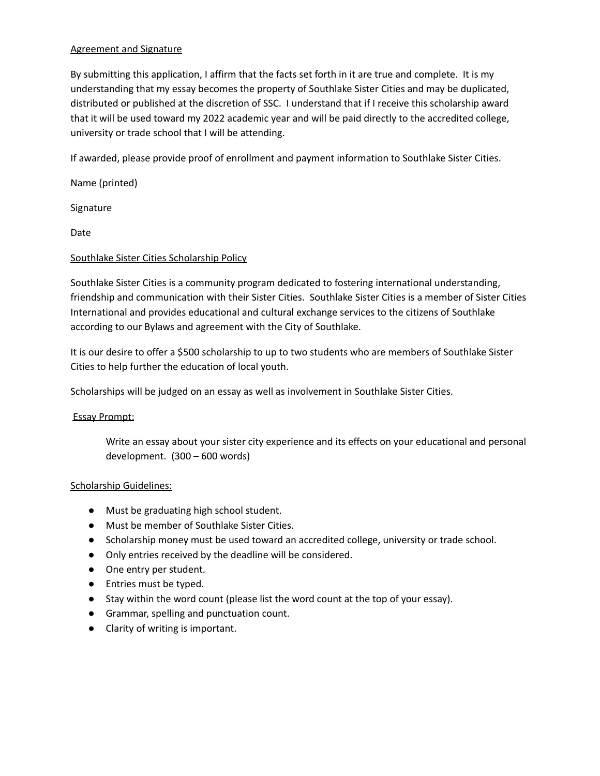### Agreement and Signature

By submitting this application, I affirm that the facts set forth in it are true and complete. It is my understanding that my essay becomes the property of Southlake Sister Cities and may be duplicated, distributed or published at the discretion of SSC. I understand that if I receive this scholarship award that it will be used toward my 2022 academic year and will be paid directly to the accredited college, university or trade school that I will be attending.

If awarded, please provide proof of enrollment and payment information to Southlake Sister Cities.

Name (printed)

Signature

Date

### Southlake Sister Cities Scholarship Policy

Southlake Sister Cities is a community program dedicated to fostering international understanding, friendship and communication with their Sister Cities. Southlake Sister Cities is a member of Sister Cities International and provides educational and cultural exchange services to the citizens of Southlake according to our Bylaws and agreement with the City of Southlake.

It is our desire to offer a \$500 scholarship to up to two students who are members of Southlake Sister Cities to help further the education of local youth.

Scholarships will be judged on an essay as well as involvement in Southlake Sister Cities.

### Essay Prompt:

Write an essay about your sister city experience and its effects on your educational and personal development. (300 – 600 words)

### Scholarship Guidelines:

- Must be graduating high school student.
- Must be member of Southlake Sister Cities.
- Scholarship money must be used toward an accredited college, university or trade school.
- Only entries received by the deadline will be considered.
- One entry per student.
- Entries must be typed.
- Stay within the word count (please list the word count at the top of your essay).
- Grammar, spelling and punctuation count.
- Clarity of writing is important.